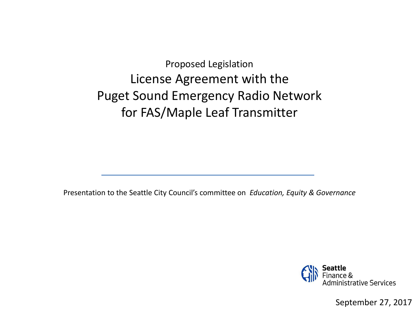Proposed Legislation License Agreement with the Puget Sound Emergency Radio Network for FAS/Maple Leaf Transmitter

Presentation to the Seattle City Council's committee on *Education, Equity & Governance*



September 27, 2017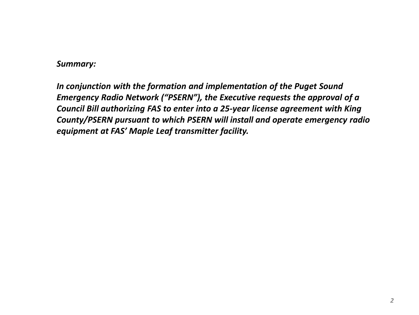#### *Summary:*

*In conjunction with the formation and implementation of the Puget Sound Emergency Radio Network ("PSERN"), the Executive requests the approval of a Council Bill authorizing FAS to enter into a 25-year license agreement with King County/PSERN pursuant to which PSERN will install and operate emergency radio equipment at FAS' Maple Leaf transmitter facility.*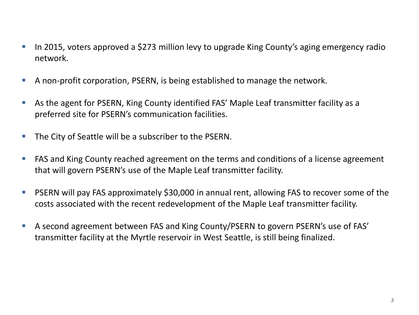- In 2015, voters approved a \$273 million levy to upgrade King County's aging emergency radio network.
- A non-profit corporation, PSERN, is being established to manage the network.
- As the agent for PSERN, King County identified FAS' Maple Leaf transmitter facility as a preferred site for PSERN's communication facilities.
- The City of Seattle will be a subscriber to the PSERN.
- **FAS** and King County reached agreement on the terms and conditions of a license agreement that will govern PSERN's use of the Maple Leaf transmitter facility.
- PSERN will pay FAS approximately \$30,000 in annual rent, allowing FAS to recover some of the costs associated with the recent redevelopment of the Maple Leaf transmitter facility.
- A second agreement between FAS and King County/PSERN to govern PSERN's use of FAS' transmitter facility at the Myrtle reservoir in West Seattle, is still being finalized.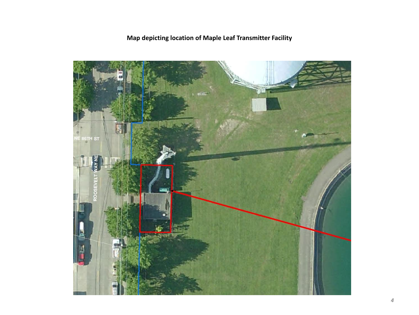# **Map depicting location of Maple Leaf Transmitter Facility**